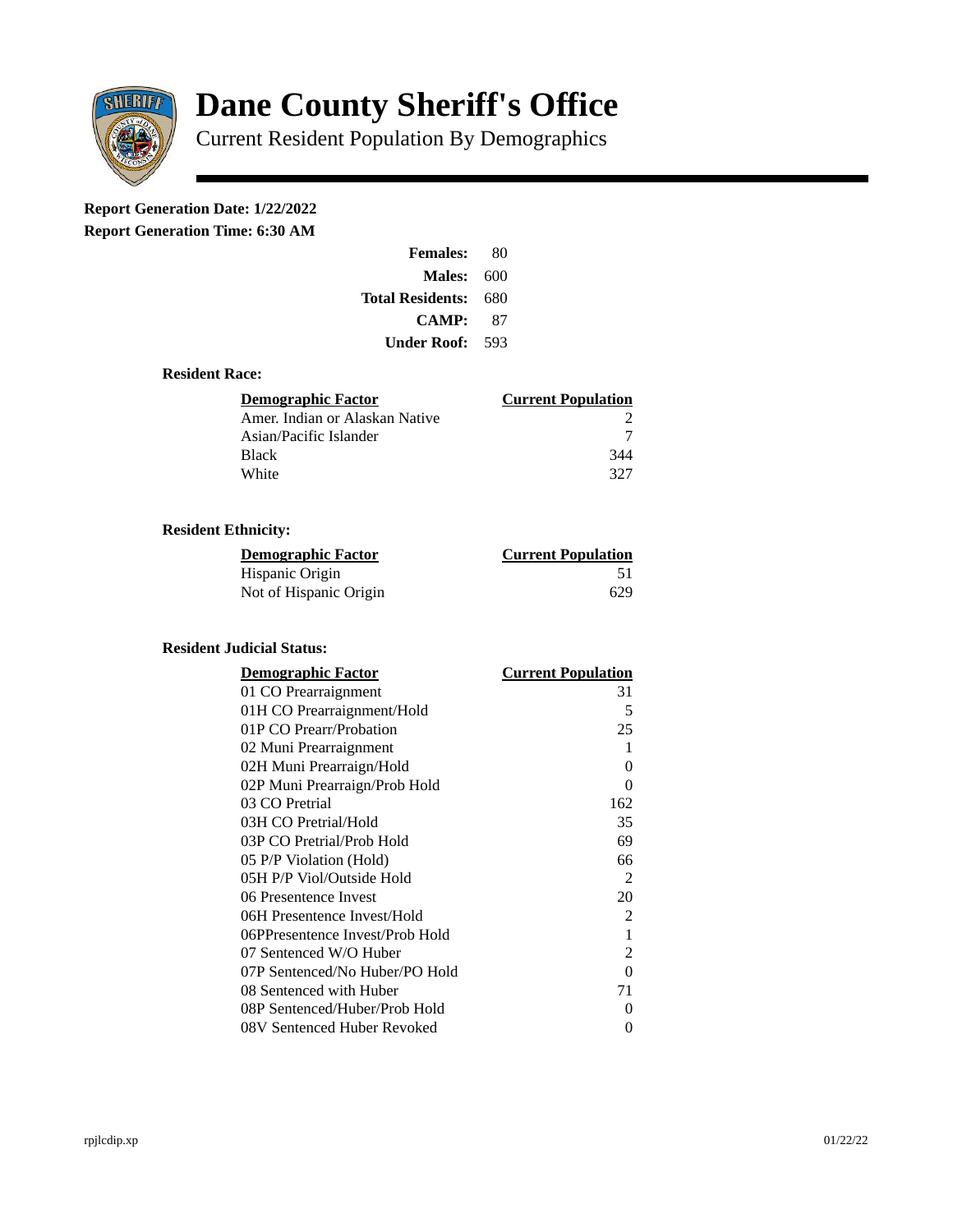

# **Dane County Sheriff's Office**

Current Resident Population By Demographics

# **Report Generation Date: 1/22/2022**

**Report Generation Time: 6:30 AM** 

| <b>Females:</b>         | 80  |
|-------------------------|-----|
| <b>Males: 600</b>       |     |
| <b>Total Residents:</b> | 680 |
| CAMP:                   | 87  |
| <b>Under Roof:</b> 593  |     |

### **Resident Race:**

| Demographic Factor             | <b>Current Population</b> |
|--------------------------------|---------------------------|
| Amer. Indian or Alaskan Native |                           |
| Asian/Pacific Islander         |                           |
| <b>Black</b>                   | 344                       |
| White                          | 327                       |

# **Resident Ethnicity:**

| <u>Demographic Factor</u> | <b>Current Population</b> |
|---------------------------|---------------------------|
| Hispanic Origin           | 51                        |
| Not of Hispanic Origin    | 629                       |

#### **Resident Judicial Status:**

| <b>Demographic Factor</b>       | <b>Current Population</b> |
|---------------------------------|---------------------------|
| 01 CO Prearraignment            | 31                        |
| 01H CO Prearraignment/Hold      | 5                         |
| 01P CO Prearr/Probation         | 25                        |
| 02 Muni Prearraignment          | 1                         |
| 02H Muni Prearraign/Hold        | 0                         |
| 02P Muni Prearraign/Prob Hold   | 0                         |
| 03 CO Pretrial                  | 162                       |
| 03H CO Pretrial/Hold            | 35                        |
| 03P CO Pretrial/Prob Hold       | 69                        |
| 05 P/P Violation (Hold)         | 66                        |
| 05H P/P Viol/Outside Hold       | 2                         |
| 06 Presentence Invest           | 20                        |
| 06H Presentence Invest/Hold     | $\overline{2}$            |
| 06PPresentence Invest/Prob Hold | $\mathbf{1}$              |
| 07 Sentenced W/O Huber          | 2                         |
| 07P Sentenced/No Huber/PO Hold  | 0                         |
| 08 Sentenced with Huber         | 71                        |
| 08P Sentenced/Huber/Prob Hold   | 0                         |
| 08V Sentenced Huber Revoked     | 0                         |